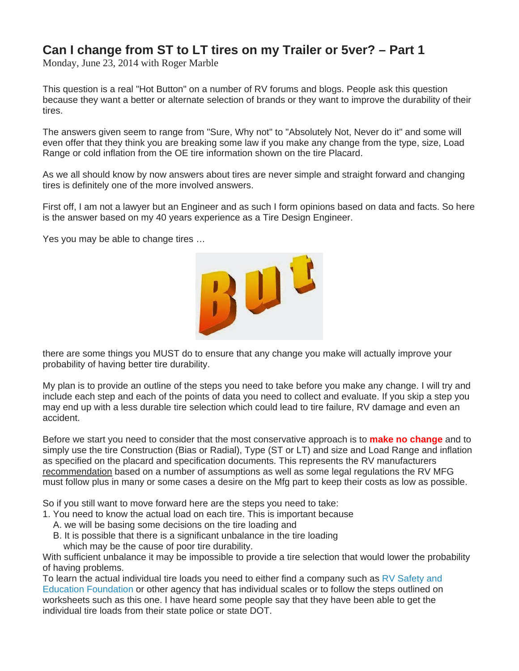## **Can I change from ST to LT tires on my Trailer or 5ver? – Part 1**

Monday, June 23, 2014 with Roger Marble

This question is a real "Hot Button" on a number of RV forums and blogs. People ask this question because they want a better or alternate selection of brands or they want to improve the durability of their tires.

The answers given seem to range from "Sure, Why not" to "Absolutely Not, Never do it" and some will even offer that they think you are breaking some law if you make any change from the type, size, Load Range or cold inflation from the OE tire information shown on the tire Placard.

As we all should know by now answers about tires are never simple and straight forward and changing tires is definitely one of the more involved answers.

First off, I am not a lawyer but an Engineer and as such I form opinions based on data and facts. So here is the answer based on my 40 years experience as a Tire Design Engineer.

Yes you may be able to change tires …



there are some things you MUST do to ensure that any change you make will actually improve your probability of having better tire durability.

My plan is to provide an outline of the steps you need to take before you make any change. I will try and include each step and each of the points of data you need to collect and evaluate. If you skip a step you may end up with a less durable tire selection which could lead to tire failure, RV damage and even an accident.

Before we start you need to consider that the most conservative approach is to **make no change** and to simply use the tire Construction (Bias or Radial), Type (ST or LT) and size and Load Range and inflation as specified on the placard and specification documents. This represents the RV manufacturers recommendation based on a number of assumptions as well as some legal regulations the RV MFG must follow plus in many or some cases a desire on the Mfg part to keep their costs as low as possible.

So if you still want to move forward here are the steps you need to take:

- 1. You need to know the actual load on each tire. This is important because
	- A. we will be basing some decisions on the tire loading and
	- B. It is possible that there is a significant unbalance in the tire loading
	- which may be the cause of poor tire durability.

With sufficient unbalance it may be impossible to provide a tire selection that would lower the probability of having problems.

To learn the actual individual tire loads you need to either find a company such as  $RV$  Safety and [Education Foundation](http://rvsafety.com/) or other agency that has individual scales or to follow the steps outlined on worksheets such as this one. I have heard some people say that they have been able to get the individual tire loads from their state police or state DOT.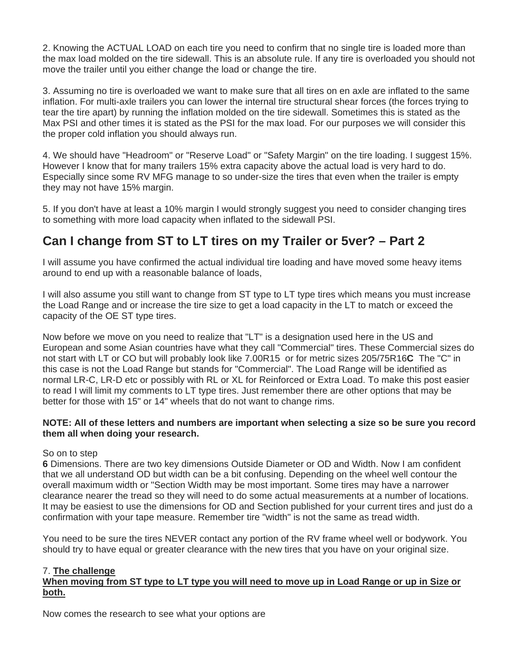2. Knowing the ACTUAL LOAD on each tire you need to confirm that no single tire is loaded more than the max load molded on the tire sidewall. This is an absolute rule. If any tire is overloaded you should not move the trailer until you either change the load or change the tire.

3. Assuming no tire is overloaded we want to make sure that all tires on en axle are inflated to the same inflation. For multi-axle trailers you can lower the internal tire structural shear forces (the forces trying to tear the tire apart) by running the inflation molded on the tire sidewall. Sometimes this is stated as the Max PSI and other times it is stated as the PSI for the max load. For our purposes we will consider this the proper cold inflation you should always run.

4. We should have "Headroom" or "Reserve Load" or "Safety Margin" on the tire loading. I suggest 15%. However I know that for many trailers 15% extra capacity above the actual load is very hard to do. Especially since some RV MFG manage to so under-size the tires that even when the trailer is empty they may not have 15% margin.

5. If you don't have at least a 10% margin I would strongly suggest you need to consider changing tires to something with more load capacity when inflated to the sidewall PSI.

# **Can I change from ST to LT tires on my Trailer or 5ver? – Part 2**

I will assume you have confirmed the actual individual tire loading and have moved some heavy items around to end up with a reasonable balance of loads,

I will also assume you still want to change from ST type to LT type tires which means you must increase the Load Range and or increase the tire size to get a load capacity in the LT to match or exceed the capacity of the OE ST type tires.

Now before we move on you need to realize that "LT" is a designation used here in the US and European and some Asian countries have what they call "Commercial" tires. These Commercial sizes do not start with LT or CO but will probably look like 7.00R15 or for metric sizes 205/75R16**C** The "C" in this case is not the Load Range but stands for "Commercial". The Load Range will be identified as normal LR-C, LR-D etc or possibly with RL or XL for Reinforced or Extra Load. To make this post easier to read I will limit my comments to LT type tires. Just remember there are other options that may be better for those with 15" or 14" wheels that do not want to change rims.

### **NOTE: All of these letters and numbers are important when selecting a size so be sure you record them all when doing your research.**

### So on to step

**6** Dimensions. There are two key dimensions Outside Diameter or OD and Width. Now I am confident that we all understand OD but width can be a bit confusing. Depending on the wheel well contour the overall maximum width or "Section Width may be most important. Some tires may have a narrower clearance nearer the tread so they will need to do some actual measurements at a number of locations. It may be easiest to use the dimensions for OD and Section published for your current tires and just do a confirmation with your tape measure. Remember tire "width" is not the same as tread width.

You need to be sure the tires NEVER contact any portion of the RV frame wheel well or bodywork. You should try to have equal or greater clearance with the new tires that you have on your original size.

### 7. **The challenge**

### **When moving from ST type to LT type you will need to move up in Load Range or up in Size or both.**

Now comes the research to see what your options are